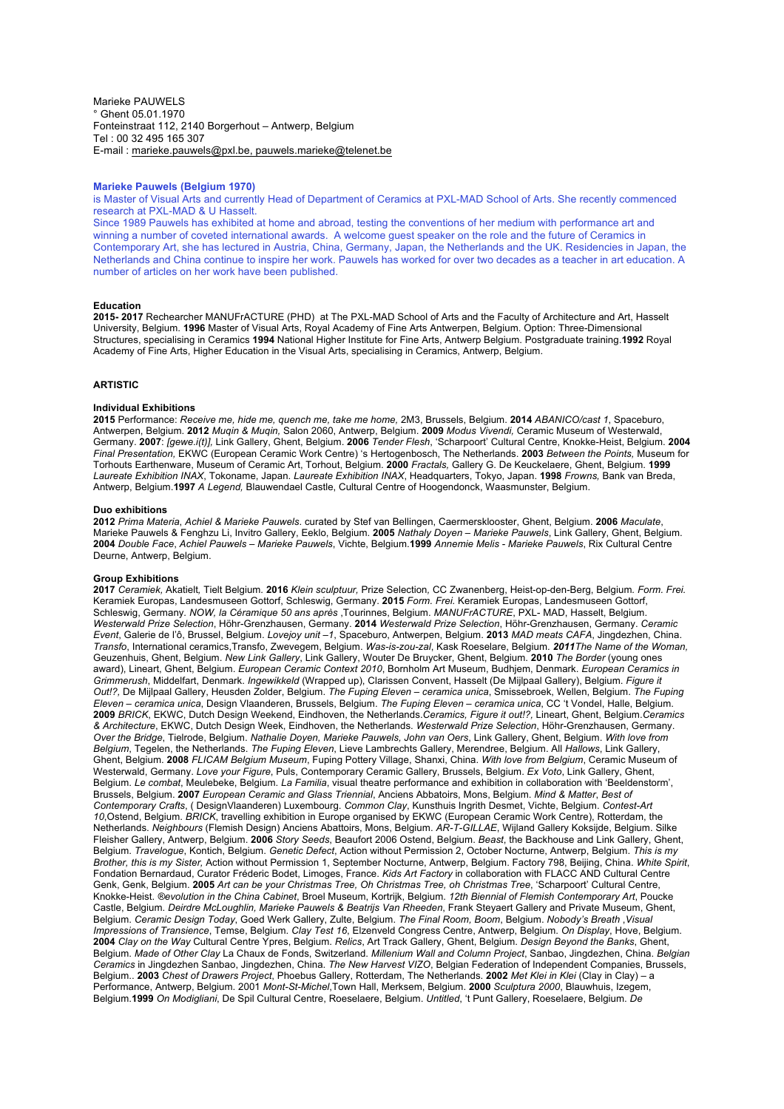Marieke PAUWELS ° Ghent 05.01.1970 Fonteinstraat 112, 2140 Borgerhout – Antwerp, Belgium Tel : 00 32 495 165 307 E-mail : marieke.pauwels@pxl.be, pauwels.marieke@telenet.be

### **Marieke Pauwels (Belgium 1970)**

is Master of Visual Arts and currently Head of Department of Ceramics at PXL-MAD School of Arts. She recently commenced research at PXL-MAD & U Hasselt.

Since 1989 Pauwels has exhibited at home and abroad, testing the conventions of her medium with performance art and winning a number of coveted international awards. A welcome guest speaker on the role and the future of Ceramics in Contemporary Art, she has lectured in Austria, China, Germany, Japan, the Netherlands and the UK. Residencies in Japan, the Netherlands and China continue to inspire her work. Pauwels has worked for over two decades as a teacher in art education. A number of articles on her work have been published.

### **Education**

**2015- 2017** Rechearcher MANUFrACTURE (PHD) at The PXL-MAD School of Arts and the Faculty of Architecture and Art, Hasselt University, Belgium. **1996** Master of Visual Arts, Royal Academy of Fine Arts Antwerpen, Belgium. Option: Three-Dimensional Structures, specialising in Ceramics **1994** National Higher Institute for Fine Arts, Antwerp Belgium. Postgraduate training.**1992** Royal Academy of Fine Arts, Higher Education in the Visual Arts, specialising in Ceramics, Antwerp, Belgium.

# **ARTISTIC**

# **Individual Exhibitions**

**2015** Performance: *Receive me, hide me, quench me, take me home,* 2M3, Brussels, Belgium. **2014** *ABANICO/cast 1*, Spaceburo, Antwerpen, Belgium. **2012** *Muqin & Muqin,* Salon 2060, Antwerp, Belgium. **2009** *Modus Vivendi,* Ceramic Museum of Westerwald, Germany. **2007**: *[gewe.i(t)],* Link Gallery, Ghent, Belgium. **2006** *Tender Flesh*, 'Scharpoort' Cultural Centre, Knokke-Heist, Belgium. **2004** *Final Presentation,* EKWC (European Ceramic Work Centre) 's Hertogenbosch, The Netherlands. **2003** *Between the Points,* Museum for Torhouts Earthenware, Museum of Ceramic Art, Torhout, Belgium. **2000** *Fractals,* Gallery G. De Keuckelaere, Ghent, Belgium. **1999** *Laureate Exhibition INAX*, Tokoname, Japan. *Laureate Exhibition INAX*, Headquarters, Tokyo, Japan. **1998** *Frowns,* Bank van Breda, Antwerp, Belgium.**1997** *A Legend,* Blauwendael Castle, Cultural Centre of Hoogendonck, Waasmunster, Belgium.

# **Duo exhibitions**

**2012** *Prima Materia*, *Achiel & Marieke Pauwels*. curated by Stef van Bellingen, Caermersklooster, Ghent, Belgium. **2006** *Maculate*, Marieke Pauwels & Fenghzu Li, Invitro Gallery, Eeklo, Belgium. **2005** *Nathaly Doyen – Marieke Pauwels*, Link Gallery, Ghent, Belgium. **2004** *Double Face*, *Achiel Pauwels – Marieke Pauwels*, Vichte, Belgium.**1999** *Annemie Melis - Marieke Pauwels*, Rix Cultural Centre Deurne, Antwerp, Belgium.

## **Group Exhibitions**

**2017** *Ceramiek,* Akatielt*,* Tielt Belgium*.* **2016** *Klein sculptuur,* Prize Selection*,* CC Zwanenberg, Heist-op-den-Berg, Belgium*. Form. Frei.* Keramiek Europas, Landesmuseen Gottorf, Schleswig, Germany. **2015** *Form. Frei.* Keramiek Europas, Landesmuseen Gottorf, Schleswig, Germany*. NOW, la Céramique 50 ans après* ,Tourinnes, Belgium. *MANUFrACTURE*, PXL- MAD, Hasselt, Belgium. *Westerwald Prize Selection*, Höhr-Grenzhausen, Germany. **2014** *Westerwald Prize Selection*, Höhr-Grenzhausen, Germany. *Ceramic Event*, Galerie de l'ô, Brussel, Belgium. *Lovejoy unit –1*, Spaceburo, Antwerpen, Belgium. **2013** *MAD meats CAFA*, Jingdezhen, China. *Transfo*, International ceramics,Transfo, Zwevegem, Belgium. *Was-is-zou-zal*, Kask Roeselare, Belgium. *2011The Name of the Woman,* Geuzenhuis, Ghent, Belgium. *New Link Gallery*, Link Gallery, Wouter De Bruycker, Ghent, Belgium. **2010** *The Border* (young ones award), Lineart, Ghent, Belgium. *European Ceramic Context 2010*, Bornholm Art Museum, Budhjem, Denmark. *European Ceramics in Grimmerush*, Middelfart, Denmark. *Ingewikkeld* (Wrapped up), Clarissen Convent, Hasselt (De Mijlpaal Gallery), Belgium. *Figure it Out!?,* De Mijlpaal Gallery, Heusden Zolder, Belgium. *The Fuping Eleven – ceramica unica*, Smissebroek, Wellen, Belgium. *The Fuping Eleven – ceramica unica*, Design Vlaanderen, Brussels, Belgium. *The Fuping Eleven – ceramica unica*, CC 't Vondel, Halle, Belgium. **2009** *BRICK*, EKWC, Dutch Design Weekend, Eindhoven, the Netherlands.*Ceramics, Figure it out!?,* Lineart, Ghent, Belgium.*Ceramics & Architecture*, EKWC, Dutch Design Week, Eindhoven, the Netherlands. *Westerwald Prize Selection*, Höhr-Grenzhausen, Germany. *Over the Bridge*, Tielrode, Belgium. *Nathalie Doyen, Marieke Pauwels, John van Oers*, Link Gallery, Ghent, Belgium. *With love from Belgium*, Tegelen, the Netherlands. *The Fuping Eleven*, Lieve Lambrechts Gallery, Merendree, Belgium. All *Hallows*, Link Gallery, Ghent, Belgium. **2008** *FLICAM Belgium Museum*, Fuping Pottery Village, Shanxi, China. *With love from Belgium*, Ceramic Museum of Westerwald, Germany. *Love your Figure*, Puls, Contemporary Ceramic Gallery, Brussels, Belgium. *Ex Voto*, Link Gallery, Ghent, Belgium. *Le combat*, Meulebeke, Belgium. *La Familia*, visual theatre performance and exhibition in collaboration with 'Beeldenstorm', Brussels, Belgium. **2007** *European Ceramic and Glass Triennial*, Anciens Abbatoirs, Mons, Belgium. *Mind & Matter*, *Best of Contemporary Crafts*, ( DesignVlaanderen) Luxembourg. *Common Clay*, Kunsthuis Ingrith Desmet, Vichte, Belgium. *Contest-Art 10*,Ostend, Belgium. *BRICK*, travelling exhibition in Europe organised by EKWC (European Ceramic Work Centre), Rotterdam, the Netherlands. *Neighbours* (Flemish Design) Anciens Abattoirs, Mons, Belgium. *AR-T-GILLAE*, Wijland Gallery Koksijde, Belgium. Silke Fleisher Gallery, Antwerp, Belgium. **2006** *Story Seeds*, Beaufort 2006 Ostend, Belgium. *Beast*, the Backhouse and Link Gallery, Ghent, Belgium. *Travelogue*, Kontich, Belgium. *Genetic Defect*, Action without Permission 2, October Nocturne, Antwerp, Belgium. *This is my Brother, this is my Sister,* Action without Permission 1, September Nocturne, Antwerp, Belgium. Factory 798, Beijing, China. *White Spirit*, Fondation Bernardaud, Curator Fréderic Bodet, Limoges, France. *Kids Art Factory* in collaboration with FLACC AND Cultural Centre Genk, Genk, Belgium. **2005** *Art can be your Christmas Tree, Oh Christmas Tree, oh Christmas Tree*, 'Scharpoort' Cultural Centre, Knokke-Heist. *®evolution in the China Cabinet*, Broel Museum, Kortrijk, Belgium. *12th Biennial of Flemish Contemporary Art*, Poucke Castle, Belgium. *Deirdre McLoughlin, Marieke Pauwels & Beatrijs Van Rheeden*, Frank Steyaert Gallery and Private Museum, Ghent, Belgium. *Ceramic Design Today*, Goed Werk Gallery, Zulte, Belgium. *The Final Room, Boom*, Belgium. *Nobody's Breath* ,*Visual Impressions of Transience*, Temse, Belgium. *Clay Test 16*, Elzenveld Congress Centre, Antwerp, Belgium. *On Display*, Hove, Belgium. **2004** *Clay on the Way* Cultural Centre Ypres, Belgium. *Relics*, Art Track Gallery, Ghent, Belgium. *Design Beyond the Banks*, Ghent, Belgium. *Made of Other Clay* La Chaux de Fonds, Switzerland. *Millenium Wall and Column Project*, Sanbao, Jingdezhen, China. *Belgian Ceramics* in Jingdezhen Sanbao, Jingdezhen, China. *The New Harvest VIZO*, Belgian Federation of Independent Companies, Brussels, Belgium.. **2003** *Chest of Drawers Project*, Phoebus Gallery, Rotterdam, The Netherlands. **2002** *Met Klei in Klei* (Clay in Clay) – a Performance, Antwerp, Belgium. 2001 *Mont-St-Michel*,Town Hall, Merksem, Belgium. **2000** *Sculptura 2000*, Blauwhuis, Izegem, Belgium.**1999** *On Modigliani*, De Spil Cultural Centre, Roeselaere, Belgium. *Untitled*, 't Punt Gallery, Roeselaere, Belgium. *De*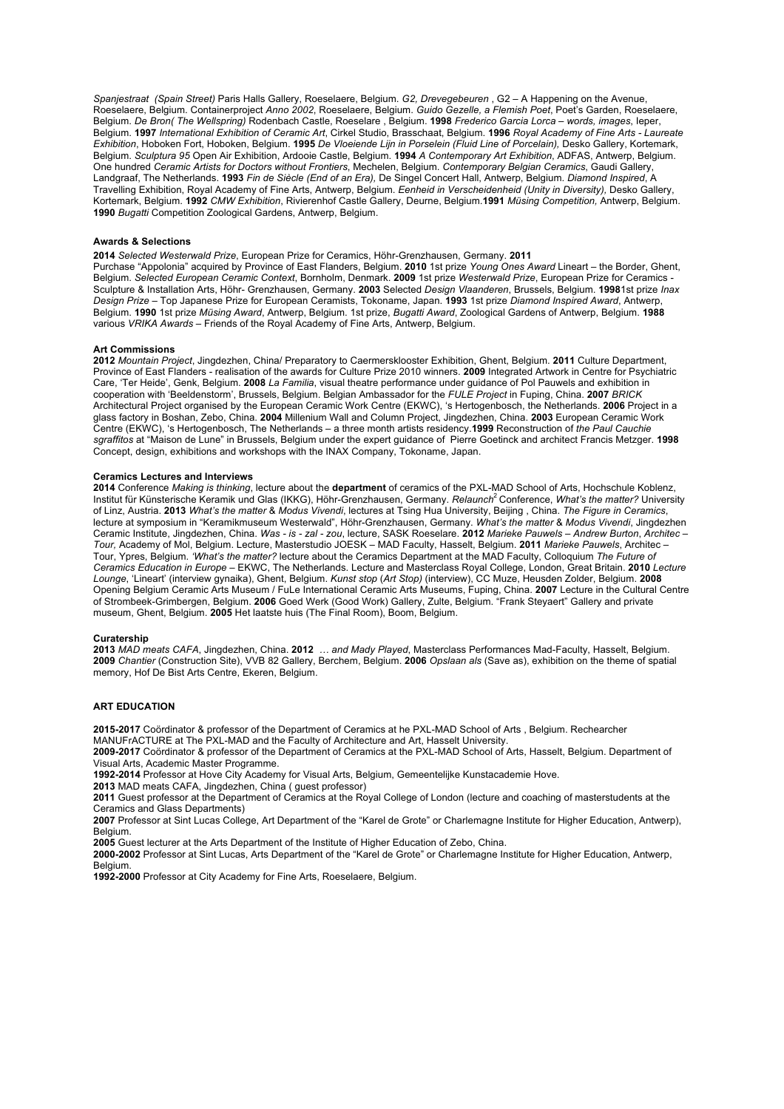*Spanjestraat (Spain Street)* Paris Halls Gallery, Roeselaere, Belgium. *G2, Drevegebeuren* , G2 – A Happening on the Avenue, Roeselaere, Belgium. Containerproject *Anno 2002*, Roeselaere, Belgium. *Guido Gezelle, a Flemish Poet*, Poet's Garden, Roeselaere, Belgium. *De Bron( The Wellspring)* Rodenbach Castle, Roeselare , Belgium. **1998** *Frederico Garcia Lorca – words, images*, Ieper, Belgium. **1997** *International Exhibition of Ceramic Art*, Cirkel Studio, Brasschaat, Belgium. **1996** *Royal Academy of Fine Arts - Laureate Exhibition*, Hoboken Fort, Hoboken, Belgium. **1995** *De Vloeiende Lijn in Porselein (Fluid Line of Porcelain),* Desko Gallery, Kortemark, Belgium. *Sculptura 95* Open Air Exhibition, Ardooie Castle, Belgium. **1994** *A Contemporary Art Exhibition*, ADFAS, Antwerp, Belgium. One hundred *Ceramic Artists for Doctors without Frontiers*, Mechelen, Belgium. *Contemporary Belgian Ceramics*, Gaudi Gallery, Landgraaf, The Netherlands. **1993** *Fin de Siècle (End of an Era),* De Singel Concert Hall, Antwerp, Belgium. *Diamond Inspired*, A Travelling Exhibition, Royal Academy of Fine Arts, Antwerp, Belgium. *Eenheid in Verscheidenheid (Unity in Diversity),* Desko Gallery, Kortemark, Belgium. **1992** *CMW Exhibition*, Rivierenhof Castle Gallery, Deurne, Belgium.**1991** *Müsing Competition,* Antwerp, Belgium. **1990** *Bugatti* Competition Zoological Gardens, Antwerp, Belgium.

### **Awards & Selections**

**2014** *Selected Westerwald Prize*, European Prize for Ceramics, Höhr-Grenzhausen, Germany. **2011** Purchase "Appolonia" acquired by Province of East Flanders, Belgium. **2010** 1st prize *Young Ones Award* Lineart – the Border, Ghent, Belgium. *Selected European Ceramic Context*, Bornholm, Denmark. **2009** 1st prize *Westerwald Prize*, European Prize for Ceramics - Sculpture & Installation Arts, Höhr- Grenzhausen, Germany. **2003** Selected *Design Vlaanderen*, Brussels, Belgium. **1998**1st prize *Inax Design Prize* – Top Japanese Prize for European Ceramists, Tokoname, Japan. **1993** 1st prize *Diamond Inspired Award*, Antwerp, Belgium. **1990** 1st prize *Müsing Award*, Antwerp, Belgium. 1st prize, *Bugatti Award*, Zoological Gardens of Antwerp, Belgium. **1988**  various *VRIKA Awards* – Friends of the Royal Academy of Fine Arts, Antwerp, Belgium.

#### **Art Commissions**

**2012** *Mountain Project*, Jingdezhen, China/ Preparatory to Caermersklooster Exhibition, Ghent, Belgium. **2011** Culture Department, Province of East Flanders - realisation of the awards for Culture Prize 2010 winners. **2009** Integrated Artwork in Centre for Psychiatric Care, 'Ter Heide', Genk, Belgium. **2008** *La Familia*, visual theatre performance under guidance of Pol Pauwels and exhibition in cooperation with 'Beeldenstorm', Brussels, Belgium. Belgian Ambassador for the *FULE Project* in Fuping, China. **2007** *BRICK* Architectural Project organised by the European Ceramic Work Centre (EKWC), 's Hertogenbosch, the Netherlands. **2006** Project in a glass factory in Boshan, Zebo, China. **2004** Millenium Wall and Column Project, Jingdezhen, China. **2003** European Ceramic Work Centre (EKWC), 's Hertogenbosch, The Netherlands – a three month artists residency.**1999** Reconstruction of *the Paul Cauchie sgraffitos* at "Maison de Lune" in Brussels, Belgium under the expert guidance of Pierre Goetinck and architect Francis Metzger. **1998** Concept, design, exhibitions and workshops with the INAX Company, Tokoname, Japan.

### **Ceramics Lectures and Interviews**

**2014** Conference *Making is thinking*, lecture about the **department** of ceramics of the PXL-MAD School of Arts, Hochschule Koblenz, Institut für Künsterische Keramik und Glas (IKKG), Höhr-Grenzhausen, Germany. *Relaunch*<sup>2</sup> Conference, *What's the matter?* University of Linz, Austria. **2013** *What's the matter* & *Modus Vivendi*, lectures at Tsing Hua University, Beijing , China. *The Figure in Ceramics*, lecture at symposium in "Keramikmuseum Westerwald", Höhr-Grenzhausen, Germany. *What's the matter* & *Modus Vivendi*, Jingdezhen Ceramic Institute, Jingdezhen, China. *Was - is - zal - zou*, lecture, SASK Roeselare. **2012** *Marieke Pauwels – Andrew Burton*, *Architec – Tour,* Academy of Mol, Belgium. Lecture, Masterstudio JOESK – MAD Faculty, Hasselt, Belgium. **2011** *Marieke Pauwels*, Architec – Tour, Ypres, Belgium. *'What's the matter?* lecture about the Ceramics Department at the MAD Faculty, Colloquium *The Future of Ceramics Education in Europe* – EKWC, The Netherlands. Lecture and Masterclass Royal College, London, Great Britain. **2010** *Lecture Lounge*, 'Lineart' (interview gynaika), Ghent, Belgium. *Kunst stop* (*Art Stop)* (interview), CC Muze, Heusden Zolder, Belgium. **2008** Opening Belgium Ceramic Arts Museum / FuLe International Ceramic Arts Museums, Fuping, China. **2007** Lecture in the Cultural Centre of Strombeek-Grimbergen, Belgium. **2006** Goed Werk (Good Work) Gallery, Zulte, Belgium. "Frank Steyaert" Gallery and private museum, Ghent, Belgium. **2005** Het laatste huis (The Final Room), Boom, Belgium.

### **Curatership**

**2013** *MAD meats CAFA*, Jingdezhen, China. **2012** *… and Mady Played*, Masterclass Performances Mad-Faculty, Hasselt, Belgium. **2009** *Chantier* (Construction Site), VVB 82 Gallery, Berchem, Belgium. **2006** *Opslaan als* (Save as), exhibition on the theme of spatial memory, Hof De Bist Arts Centre, Ekeren, Belgium.

### **ART EDUCATION**

**2015-2017** Coördinator & professor of the Department of Ceramics at he PXL-MAD School of Arts , Belgium. Rechearcher MANUFrACTURE at The PXL-MAD and the Faculty of Architecture and Art, Hasselt University.

**2009-2017** Coördinator & professor of the Department of Ceramics at the PXL-MAD School of Arts, Hasselt, Belgium. Department of

Visual Arts, Academic Master Programme.

**1992-2014** Professor at Hove City Academy for Visual Arts, Belgium, Gemeentelijke Kunstacademie Hove.

**2013** MAD meats CAFA, Jingdezhen, China ( guest professor)

**2011** Guest professor at the Department of Ceramics at the Royal College of London (lecture and coaching of masterstudents at the Ceramics and Glass Departments)

**2007** Professor at Sint Lucas College, Art Department of the "Karel de Grote" or Charlemagne Institute for Higher Education, Antwerp), **Belgium** 

**2005** Guest lecturer at the Arts Department of the Institute of Higher Education of Zebo, China.

**2000-2002** Professor at Sint Lucas, Arts Department of the "Karel de Grote" or Charlemagne Institute for Higher Education, Antwerp, Belgium.

**1992-2000** Professor at City Academy for Fine Arts, Roeselaere, Belgium.